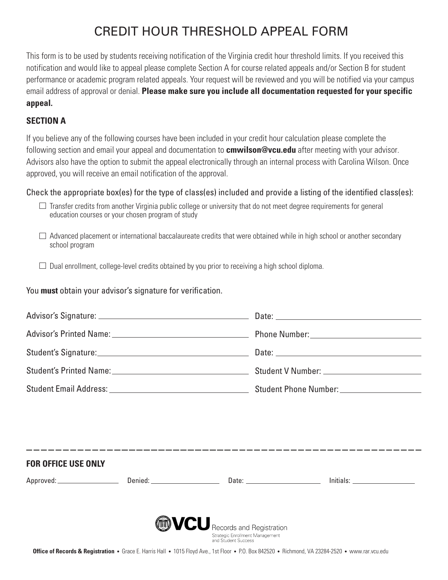# CREDIT HOUR THRESHOLD APPEAL FORM

This form is to be used by students receiving notification of the Virginia credit hour threshold limits. If you received this notification and would like to appeal please complete Section A for course related appeals and/or Section B for student performance or academic program related appeals. Your request will be reviewed and you will be notified via your campus email address of approval or denial. **Please make sure you include all documentation requested for your specific appeal.** 

### **SECTION A**

If you believe any of the following courses have been included in your credit hour calculation please complete the following section and email your appeal and documentation to **cmwilson@vcu.edu** after meeting with your advisor. Advisors also have the option to submit the appeal electronically through an internal process with Carolina Wilson. Once approved, you will receive an email notification of the approval.

Check the appropriate box(es) for the type of class(es) included and provide a listing of the identified class(es):

- $\Box$  Transfer credits from another Virginia public college or university that do not meet degree requirements for general education courses or your chosen program of study
- $\Box$  Advanced placement or international baccalaureate credits that were obtained while in high school or another secondary school program

 $\Box$  Dual enrollment, college-level credits obtained by you prior to receiving a high school diploma.

You **must** obtain your advisor's signature for verification.

|                                                                                                                                   |  | Phone Number: _____________________________                                                    |  |  |  |
|-----------------------------------------------------------------------------------------------------------------------------------|--|------------------------------------------------------------------------------------------------|--|--|--|
|                                                                                                                                   |  |                                                                                                |  |  |  |
|                                                                                                                                   |  |                                                                                                |  |  |  |
|                                                                                                                                   |  | Student Phone Number: _____________________                                                    |  |  |  |
|                                                                                                                                   |  |                                                                                                |  |  |  |
|                                                                                                                                   |  |                                                                                                |  |  |  |
| <b>FOR OFFICE USE ONLY</b>                                                                                                        |  |                                                                                                |  |  |  |
|                                                                                                                                   |  |                                                                                                |  |  |  |
|                                                                                                                                   |  |                                                                                                |  |  |  |
|                                                                                                                                   |  | <b>MVCU</b> Records and Registration<br>Strategic Enrollment Management<br>and Student Success |  |  |  |
| Office of Benedict Origination Concert House Hall (1015 Flood Acc. 104 Flood D. D. 010590 Blocked VA 99904 9590 (concertainty and |  |                                                                                                |  |  |  |